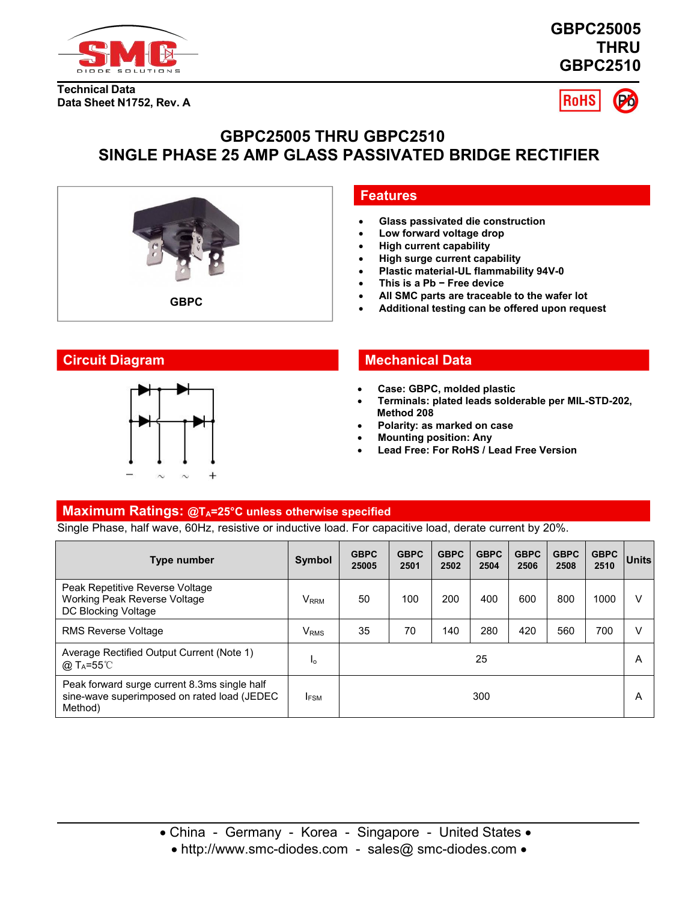





# **GBPC25005 THRU GBPC2510 SINGLE PHASE 25 AMP GLASS PASSIVATED BRIDGE RECTIFIER**



# **Features**

- **Glass passivated die construction**
- **Low forward voltage drop**
- **High current capability**
- **High surge current capability**
- **Plastic material-UL flammability 94V-0**
- **This is a Pb − Free device**
- **All SMC parts are traceable to the wafer lot**
- 



# **Circuit Diagram Mechanical Data**

- **Case: GBPC, molded plastic**
- **Terminals: plated leads solderable per MIL-STD-202, Method 208**
- **Polarity: as marked on case**
- **Mounting position: Any**
- **Lead Free: For RoHS / Lead Free Version**

## **Maximum Ratings: @TA=25°C unless otherwise specified**

Single Phase, halfwave, 60Hz, resistive or inductive load. Forcapacitive load, derate current by 20%.

| Type number                                                                                            | Symbol                  | <b>GBPC</b><br>25005 | <b>GBPC</b><br>2501 | <b>GBPC</b><br>2502 | <b>GBPC</b><br>2504 | <b>GBPC</b><br>2506 | <b>GBPC</b><br>2508 | <b>GBPC</b><br>2510 | <b>Units</b> |
|--------------------------------------------------------------------------------------------------------|-------------------------|----------------------|---------------------|---------------------|---------------------|---------------------|---------------------|---------------------|--------------|
| Peak Repetitive Reverse Voltage<br>Working Peak Reverse Voltage<br>DC Blocking Voltage                 | V <sub>RRM</sub>        | 50                   | 100                 | 200                 | 400                 | 600                 | 800                 | 1000                |              |
| <b>RMS Reverse Voltage</b>                                                                             | <b>V</b> <sub>RMS</sub> | 35                   | 70                  | 140                 | 280                 | 420                 | 560                 | 700                 |              |
| Average Rectified Output Current (Note 1)<br>$@$ T <sub>A</sub> =55 $°C$                               | Ιo                      |                      |                     |                     | 25                  |                     |                     |                     | A            |
| Peak forward surge current 8.3ms single half<br>sine-wave superimposed on rated load (JEDEC<br>Method) | <b>IFSM</b>             |                      |                     |                     | 300                 |                     |                     |                     | Α            |

• http://www.smc-diodes.com - sales@ smc-diodes.com •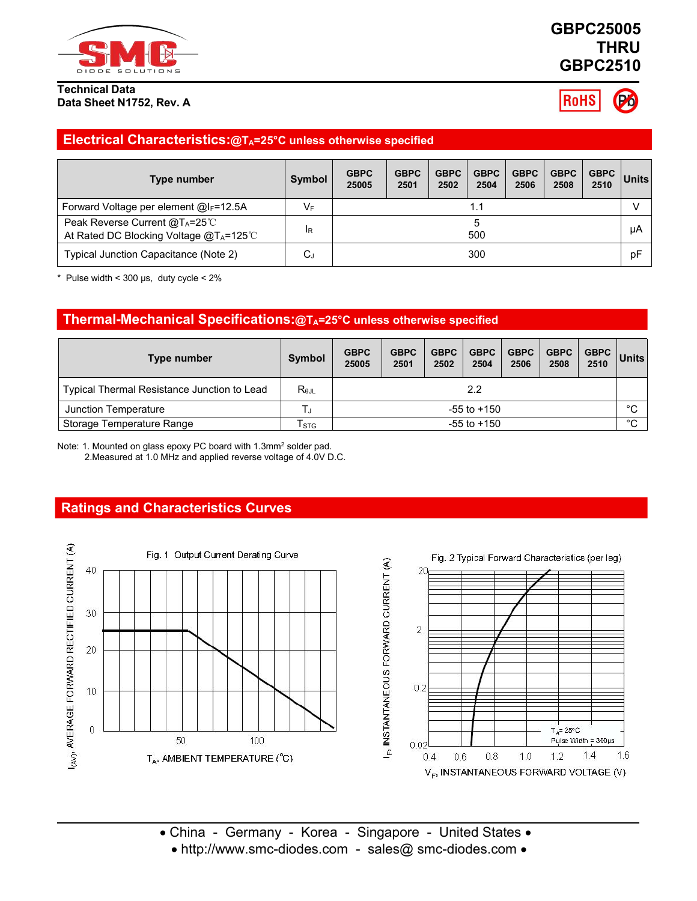

# **GBPC25005 THRU GBPC2510**

**RoHS** 

# **Electrical Characteristics:@TA=25°C unless otherwise specified**

| Type number                                                                                     | <b>Symbol</b>  | <b>GBPC</b><br>25005 | <b>GBPC</b><br>2501 | <b>GBPC</b><br>2502 | <b>GBPC</b><br>2504 | <b>GBPC</b><br>2506 | <b>GBPC</b><br>2508 | GBPC  <br>2510 | Units |
|-------------------------------------------------------------------------------------------------|----------------|----------------------|---------------------|---------------------|---------------------|---------------------|---------------------|----------------|-------|
| Forward Voltage per element @IF=12.5A                                                           | VF             |                      |                     |                     |                     |                     |                     | v              |       |
| Peak Reverse Current @T <sub>A</sub> =25℃<br>At Rated DC Blocking Voltage @T <sub>A</sub> =125℃ | <sup>I</sup> R |                      | 500                 |                     |                     |                     |                     |                | μA    |
| Typical Junction Capacitance (Note 2)                                                           | $C_J$          |                      |                     |                     | 300                 |                     |                     |                | pF    |

 $*$  Pulse width < 300 µs, duty cycle < 2%

## **Thermal-Mechanical Specifications:@TA=25°C unless otherwise specified**

| Type number                                 | Symbol          | <b>GBPC</b><br>25005 | <b>GBPC</b><br>2501 | <b>GBPC</b><br>2502 | <b>GBPC</b><br>2504 | <b>GBPC</b><br>2506 | <b>GBPC</b><br>2508 | <b>GBPC</b><br>2510 | <b>Units</b> |  |
|---------------------------------------------|-----------------|----------------------|---------------------|---------------------|---------------------|---------------------|---------------------|---------------------|--------------|--|
| Typical Thermal Resistance Junction to Lead | $R_{\theta JL}$ | $2.2\,$              |                     |                     |                     |                     |                     |                     |              |  |
| Junction Temperature                        |                 | $-55$ to $+150$      |                     |                     |                     |                     |                     |                     | $\circ$<br>◡ |  |
| Storage Temperature Range                   | l stg           |                      | $-55$ to $+150$     |                     |                     |                     |                     |                     |              |  |

Note: 1. Mounted on glass epoxy PC board with 1.3mm<sup>2</sup> solder pad.

2.Measured at 1.0 MHz and applied reverse voltage of 4.0V D.C.

# **Ratings and Characteristics Curves**



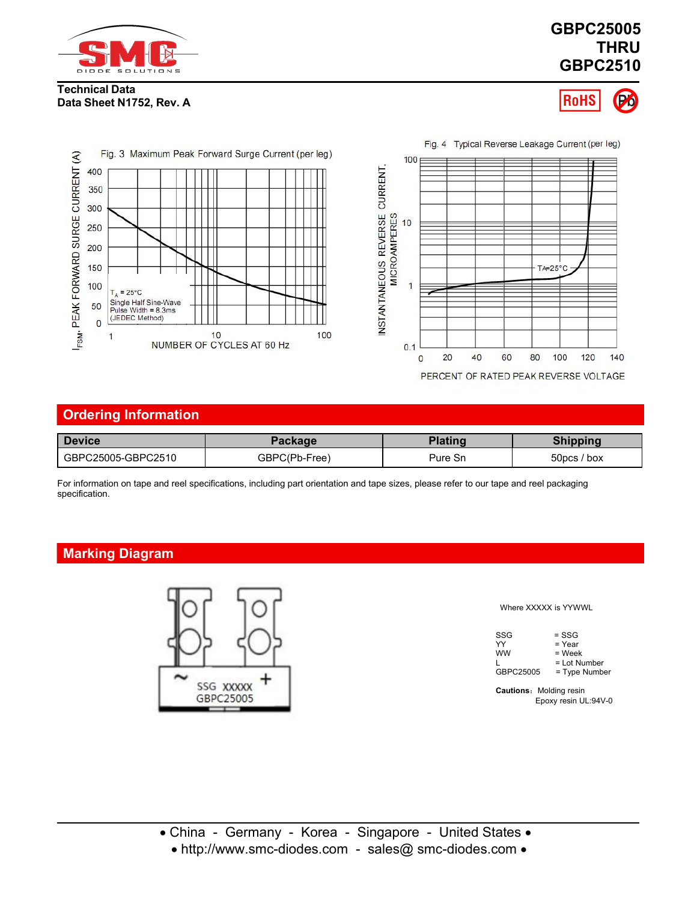

# **GBPC25005 THRU GBPC2510**

## **Technical Data Data Sheet N1752, Rev. A**





PERCENT OF RATED PEAK REVERSE VOLTAGE

| <b>Device</b>      | Package       | <b>Plating</b> | <b>Shipping</b>         |
|--------------------|---------------|----------------|-------------------------|
| GBPC25005-GBPC2510 | GBPC(Pb-Free) | Pure Sn        | 50 <sub>DCS</sub> / box |

For information on tape and reel specifications, including part orientation and tape sizes, please refer to our tape and reel packaging

# **Marking Diagram**



#### Where XXXXX is YYWWL

| SSG       | $=$ SSG        |  |
|-----------|----------------|--|
| YY        | $=$ Year       |  |
| <b>WW</b> | = Week         |  |
|           | $=$ Lot Number |  |
| GBPC25005 | = Type Number  |  |

**Cautions:** Molding resin Epoxy resin UL:94V-0

• http://www.smc-diodes.com - sales@ smc-diodes.com •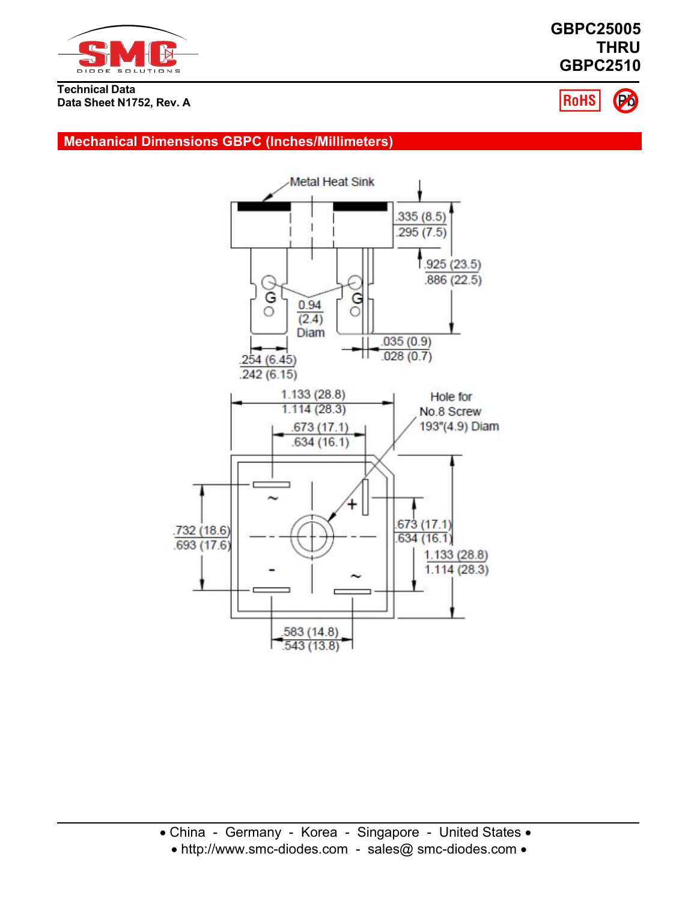

**GBPC25005 THRU GBPC2510**



# **Mechanical Dimensions GBPC (Inches/Millimeters)**